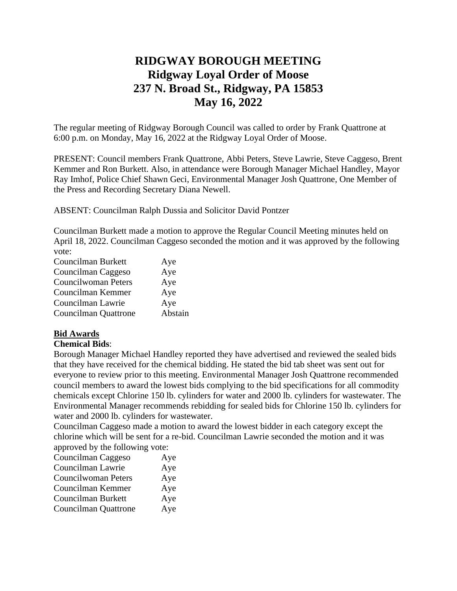# **RIDGWAY BOROUGH MEETING Ridgway Loyal Order of Moose 237 N. Broad St., Ridgway, PA 15853 May 16, 2022**

The regular meeting of Ridgway Borough Council was called to order by Frank Quattrone at 6:00 p.m. on Monday, May 16, 2022 at the Ridgway Loyal Order of Moose.

PRESENT: Council members Frank Quattrone, Abbi Peters, Steve Lawrie, Steve Caggeso, Brent Kemmer and Ron Burkett. Also, in attendance were Borough Manager Michael Handley, Mayor Ray Imhof, Police Chief Shawn Geci, Environmental Manager Josh Quattrone, One Member of the Press and Recording Secretary Diana Newell.

ABSENT: Councilman Ralph Dussia and Solicitor David Pontzer

Councilman Burkett made a motion to approve the Regular Council Meeting minutes held on April 18, 2022. Councilman Caggeso seconded the motion and it was approved by the following vote:

| Councilman Burkett   | Aye     |
|----------------------|---------|
| Councilman Caggeso   | Aye     |
| Councilwoman Peters  | Aye     |
| Councilman Kemmer    | Aye     |
| Councilman Lawrie    | Aye     |
| Councilman Quattrone | Abstain |

## **Bid Awards**

#### **Chemical Bids**:

Borough Manager Michael Handley reported they have advertised and reviewed the sealed bids that they have received for the chemical bidding. He stated the bid tab sheet was sent out for everyone to review prior to this meeting. Environmental Manager Josh Quattrone recommended council members to award the lowest bids complying to the bid specifications for all commodity chemicals except Chlorine 150 lb. cylinders for water and 2000 lb. cylinders for wastewater. The Environmental Manager recommends rebidding for sealed bids for Chlorine 150 lb. cylinders for water and 2000 lb. cylinders for wastewater.

Councilman Caggeso made a motion to award the lowest bidder in each category except the chlorine which will be sent for a re-bid. Councilman Lawrie seconded the motion and it was approved by the following vote:

| Councilman Caggeso          | Aye |
|-----------------------------|-----|
| Councilman Lawrie           | Aye |
| Councilwoman Peters         | Aye |
| Councilman Kemmer           | Aye |
| Councilman Burkett          | Aye |
| <b>Councilman Quattrone</b> | Aye |
|                             |     |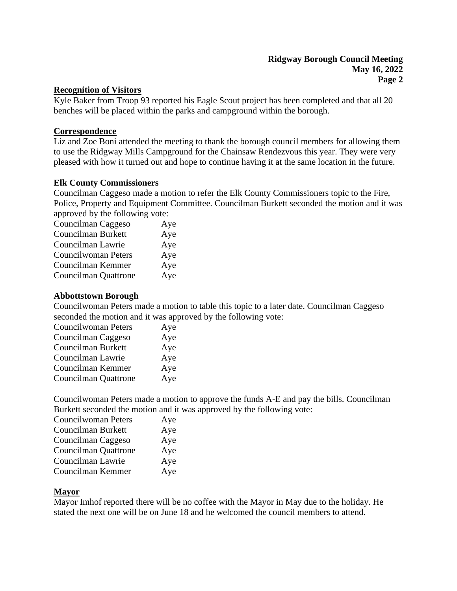#### **Recognition of Visitors**

Kyle Baker from Troop 93 reported his Eagle Scout project has been completed and that all 20 benches will be placed within the parks and campground within the borough.

#### **Correspondence**

Liz and Zoe Boni attended the meeting to thank the borough council members for allowing them to use the Ridgway Mills Campground for the Chainsaw Rendezvous this year. They were very pleased with how it turned out and hope to continue having it at the same location in the future.

#### **Elk County Commissioners**

Councilman Caggeso made a motion to refer the Elk County Commissioners topic to the Fire, Police, Property and Equipment Committee. Councilman Burkett seconded the motion and it was approved by the following vote:

| Aye |
|-----|
| Aye |
| Aye |
| Aye |
| Aye |
| Aye |
|     |

#### **Abbottstown Borough**

Councilwoman Peters made a motion to table this topic to a later date. Councilman Caggeso seconded the motion and it was approved by the following vote:

| <b>Councilwoman Peters</b>  | Aye |
|-----------------------------|-----|
| Councilman Caggeso          | Aye |
| Councilman Burkett          | Aye |
| Councilman Lawrie           | Aye |
| Councilman Kemmer           | Aye |
| <b>Councilman Quattrone</b> | Aye |

Councilwoman Peters made a motion to approve the funds A-E and pay the bills. Councilman Burkett seconded the motion and it was approved by the following vote:

| <b>Councilwoman Peters</b> | Aye |
|----------------------------|-----|
| Councilman Burkett         | Aye |
| Councilman Caggeso         | Aye |
| Councilman Quattrone       | Aye |
| Councilman Lawrie          | Aye |
| Councilman Kemmer          | Aye |

#### **Mayor**

Mayor Imhof reported there will be no coffee with the Mayor in May due to the holiday. He stated the next one will be on June 18 and he welcomed the council members to attend.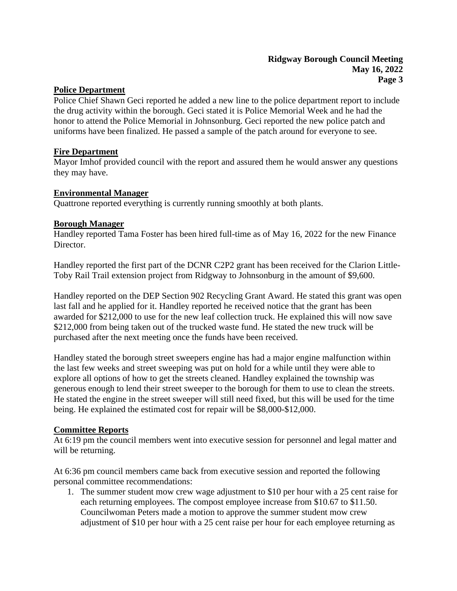## **Police Department**

Police Chief Shawn Geci reported he added a new line to the police department report to include the drug activity within the borough. Geci stated it is Police Memorial Week and he had the honor to attend the Police Memorial in Johnsonburg. Geci reported the new police patch and uniforms have been finalized. He passed a sample of the patch around for everyone to see.

## **Fire Department**

Mayor Imhof provided council with the report and assured them he would answer any questions they may have.

## **Environmental Manager**

Quattrone reported everything is currently running smoothly at both plants.

## **Borough Manager**

Handley reported Tama Foster has been hired full-time as of May 16, 2022 for the new Finance Director.

Handley reported the first part of the DCNR C2P2 grant has been received for the Clarion Little-Toby Rail Trail extension project from Ridgway to Johnsonburg in the amount of \$9,600.

Handley reported on the DEP Section 902 Recycling Grant Award. He stated this grant was open last fall and he applied for it. Handley reported he received notice that the grant has been awarded for \$212,000 to use for the new leaf collection truck. He explained this will now save \$212,000 from being taken out of the trucked waste fund. He stated the new truck will be purchased after the next meeting once the funds have been received.

Handley stated the borough street sweepers engine has had a major engine malfunction within the last few weeks and street sweeping was put on hold for a while until they were able to explore all options of how to get the streets cleaned. Handley explained the township was generous enough to lend their street sweeper to the borough for them to use to clean the streets. He stated the engine in the street sweeper will still need fixed, but this will be used for the time being. He explained the estimated cost for repair will be \$8,000-\$12,000.

## **Committee Reports**

At 6:19 pm the council members went into executive session for personnel and legal matter and will be returning.

At 6:36 pm council members came back from executive session and reported the following personal committee recommendations:

1. The summer student mow crew wage adjustment to \$10 per hour with a 25 cent raise for each returning employees. The compost employee increase from \$10.67 to \$11.50. Councilwoman Peters made a motion to approve the summer student mow crew adjustment of \$10 per hour with a 25 cent raise per hour for each employee returning as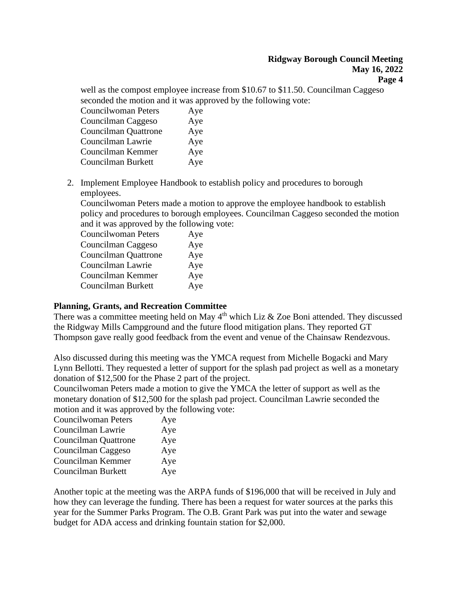well as the compost employee increase from \$10.67 to \$11.50. Councilman Caggeso seconded the motion and it was approved by the following vote:

| Aye |
|-----|
| Aye |
| Aye |
| Aye |
| Aye |
| Aye |
|     |

2. Implement Employee Handbook to establish policy and procedures to borough employees.

Councilwoman Peters made a motion to approve the employee handbook to establish policy and procedures to borough employees. Councilman Caggeso seconded the motion and it was approved by the following vote:

| <b>Councilwoman Peters</b>  | Aye |
|-----------------------------|-----|
| Councilman Caggeso          | Aye |
| <b>Councilman Quattrone</b> | Aye |
| Councilman Lawrie           | Aye |
| Councilman Kemmer           | Aye |
| Councilman Burkett          | Aye |
|                             |     |

## **Planning, Grants, and Recreation Committee**

There was a committee meeting held on May  $4<sup>th</sup>$  which Liz & Zoe Boni attended. They discussed the Ridgway Mills Campground and the future flood mitigation plans. They reported GT Thompson gave really good feedback from the event and venue of the Chainsaw Rendezvous.

Also discussed during this meeting was the YMCA request from Michelle Bogacki and Mary Lynn Bellotti. They requested a letter of support for the splash pad project as well as a monetary donation of \$12,500 for the Phase 2 part of the project.

Councilwoman Peters made a motion to give the YMCA the letter of support as well as the monetary donation of \$12,500 for the splash pad project. Councilman Lawrie seconded the motion and it was approved by the following vote:

| <b>Councilwoman Peters</b> | Aye |
|----------------------------|-----|
| Councilman Lawrie          | Aye |
| Councilman Quattrone       | Aye |
| Councilman Caggeso         | Aye |
| Councilman Kemmer          | Aye |
| Councilman Burkett         | Aye |
|                            |     |

Another topic at the meeting was the ARPA funds of \$196,000 that will be received in July and how they can leverage the funding. There has been a request for water sources at the parks this year for the Summer Parks Program. The O.B. Grant Park was put into the water and sewage budget for ADA access and drinking fountain station for \$2,000.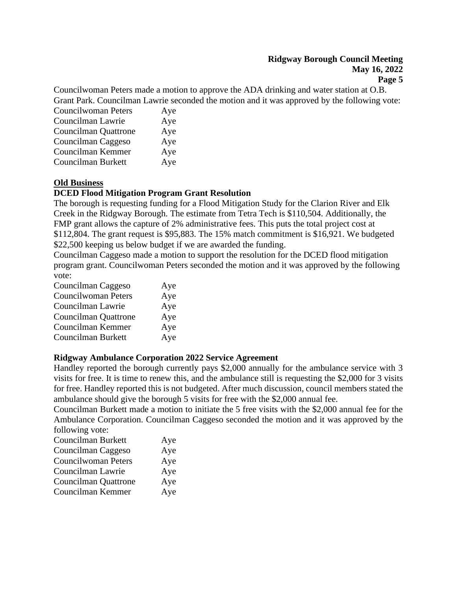## **Ridgway Borough Council Meeting May 16, 2022**

**Page 5**

Councilwoman Peters made a motion to approve the ADA drinking and water station at O.B. Grant Park. Councilman Lawrie seconded the motion and it was approved by the following vote:

| <b>Councilwoman Peters</b>  | Aye |
|-----------------------------|-----|
| Councilman Lawrie           | Aye |
| <b>Councilman Quattrone</b> | Aye |
| Councilman Caggeso          | Aye |
| Councilman Kemmer           | Aye |
| Councilman Burkett          | Aye |

## **Old Business**

#### **DCED Flood Mitigation Program Grant Resolution**

The borough is requesting funding for a Flood Mitigation Study for the Clarion River and Elk Creek in the Ridgway Borough. The estimate from Tetra Tech is \$110,504. Additionally, the FMP grant allows the capture of 2% administrative fees. This puts the total project cost at \$112,804. The grant request is \$95,883. The 15% match commitment is \$16,921. We budgeted \$22,500 keeping us below budget if we are awarded the funding.

Councilman Caggeso made a motion to support the resolution for the DCED flood mitigation program grant. Councilwoman Peters seconded the motion and it was approved by the following vote:

| Councilman Caggeso   | Aye |
|----------------------|-----|
| Councilwoman Peters  | Aye |
| Councilman Lawrie    | Aye |
| Councilman Quattrone | Aye |
| Councilman Kemmer    | Aye |
| Councilman Burkett   | Aye |

#### **Ridgway Ambulance Corporation 2022 Service Agreement**

Handley reported the borough currently pays \$2,000 annually for the ambulance service with 3 visits for free. It is time to renew this, and the ambulance still is requesting the \$2,000 for 3 visits for free. Handley reported this is not budgeted. After much discussion, council members stated the ambulance should give the borough 5 visits for free with the \$2,000 annual fee.

Councilman Burkett made a motion to initiate the 5 free visits with the \$2,000 annual fee for the Ambulance Corporation. Councilman Caggeso seconded the motion and it was approved by the following vote:

| Councilman Burkett          | Aye |
|-----------------------------|-----|
| Councilman Caggeso          | Aye |
| <b>Councilwoman Peters</b>  | Aye |
| Councilman Lawrie           | Aye |
| <b>Councilman Quattrone</b> | Aye |
| Councilman Kemmer           | Aye |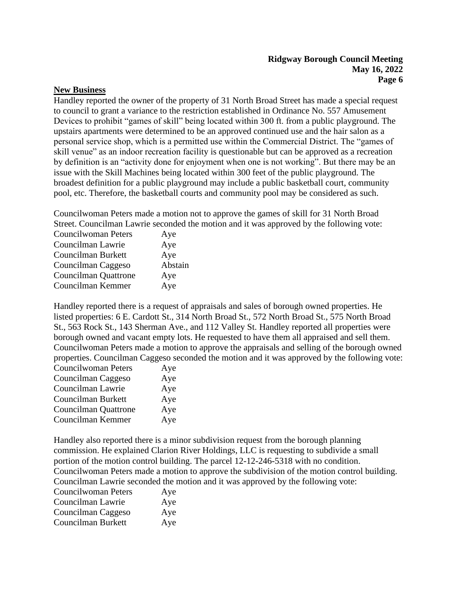## **Ridgway Borough Council Meeting May 16, 2022 Page 6**

## **New Business**

Handley reported the owner of the property of 31 North Broad Street has made a special request to council to grant a variance to the restriction established in Ordinance No. 557 Amusement Devices to prohibit "games of skill" being located within 300 ft. from a public playground. The upstairs apartments were determined to be an approved continued use and the hair salon as a personal service shop, which is a permitted use within the Commercial District. The "games of skill venue" as an indoor recreation facility is questionable but can be approved as a recreation by definition is an "activity done for enjoyment when one is not working". But there may be an issue with the Skill Machines being located within 300 feet of the public playground. The broadest definition for a public playground may include a public basketball court, community pool, etc. Therefore, the basketball courts and community pool may be considered as such.

Councilwoman Peters made a motion not to approve the games of skill for 31 North Broad Street. Councilman Lawrie seconded the motion and it was approved by the following vote:

| <b>Councilwoman Peters</b> | Aye     |
|----------------------------|---------|
| Councilman Lawrie          | Aye     |
| Councilman Burkett         | Aye     |
| Councilman Caggeso         | Abstain |
| Councilman Quattrone       | Aye     |
| Councilman Kemmer          | Aye     |

Handley reported there is a request of appraisals and sales of borough owned properties. He listed properties: 6 E. Cardott St., 314 North Broad St., 572 North Broad St., 575 North Broad St., 563 Rock St., 143 Sherman Ave., and 112 Valley St. Handley reported all properties were borough owned and vacant empty lots. He requested to have them all appraised and sell them. Councilwoman Peters made a motion to approve the appraisals and selling of the borough owned properties. Councilman Caggeso seconded the motion and it was approved by the following vote:

| <b>Councilwoman Peters</b> | Aye |
|----------------------------|-----|
| Councilman Caggeso         | Aye |
| Councilman Lawrie          | Aye |
| Councilman Burkett         | Aye |
| Councilman Quattrone       | Aye |
| Councilman Kemmer          | Aye |

Handley also reported there is a minor subdivision request from the borough planning commission. He explained Clarion River Holdings, LLC is requesting to subdivide a small portion of the motion control building. The parcel 12-12-246-5318 with no condition. Councilwoman Peters made a motion to approve the subdivision of the motion control building. Councilman Lawrie seconded the motion and it was approved by the following vote:

| <b>Councilwoman Peters</b> | Aye |
|----------------------------|-----|
| Councilman Lawrie          | Aye |
| Councilman Caggeso         | Aye |
| Councilman Burkett         | Aye |